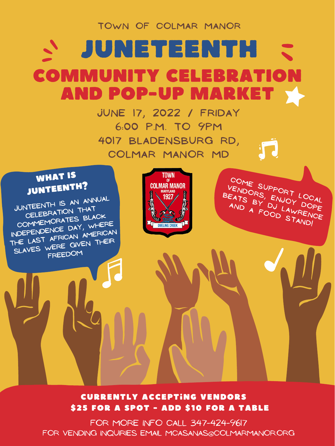Currently accepting vendors

\$25 for a spot - ADD \$10 for a table

**JUNTEENTH IS AN ANNUAL CELEBRATION THAT COMMEMORATES BLACK INDEPENDENCE DAY, WHERE THE LAST AFRICAN AMERICAN SLAVES WERE GIVEN THEIR FREEDOM** WHAT IS JUNTEENTH?



**4017 BLADENSBURG RD, COLMAR MANOR MD**

## **Town OF COLMAR MANOR** JUNETEENTH COMMUNITY CELEBRATION AND POP-UP MARKET **June 17, 2022 / FRIDAY** 6**:00 p.m. TO 9PM**

**come support LOCAl** VENDORS, ENJORT LOCAL<br>EATS BY ENJOY DOPE<br>AND A FOJ LAWALDOPE **BEATS** BY ENJOY LOCAL<br>AND A FOOD LAWRENCE **And <sup>A</sup> food STAND!**

for more info call 347-424-9617 for Vending inquiries email mcasanas@colmarmanor.org